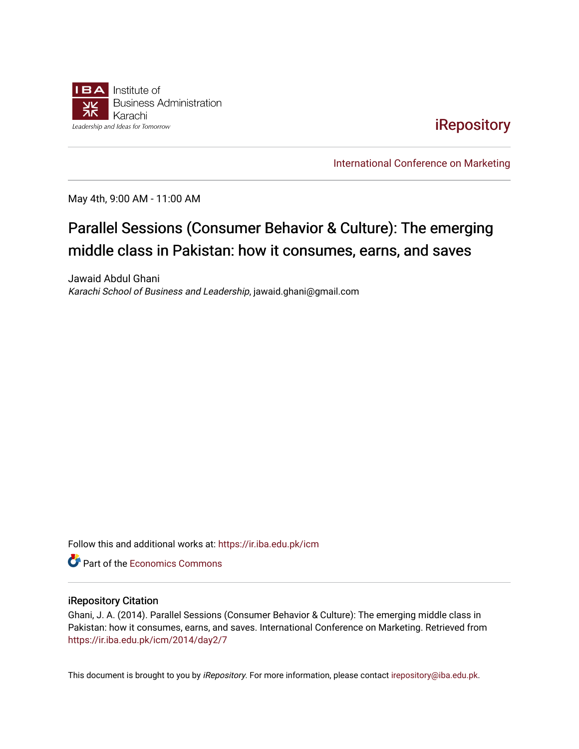

# [iRepository](https://ir.iba.edu.pk/)

[International Conference on Marketing](https://ir.iba.edu.pk/icm) 

May 4th, 9:00 AM - 11:00 AM

# Parallel Sessions (Consumer Behavior & Culture): The emerging middle class in Pakistan: how it consumes, earns, and saves

Jawaid Abdul Ghani Karachi School of Business and Leadership, jawaid.ghani@gmail.com

Follow this and additional works at: [https://ir.iba.edu.pk/icm](https://ir.iba.edu.pk/icm?utm_source=ir.iba.edu.pk%2Ficm%2F2014%2Fday2%2F7&utm_medium=PDF&utm_campaign=PDFCoverPages) 

**C** Part of the [Economics Commons](http://network.bepress.com/hgg/discipline/340?utm_source=ir.iba.edu.pk%2Ficm%2F2014%2Fday2%2F7&utm_medium=PDF&utm_campaign=PDFCoverPages)

#### iRepository Citation

Ghani, J. A. (2014). Parallel Sessions (Consumer Behavior & Culture): The emerging middle class in Pakistan: how it consumes, earns, and saves. International Conference on Marketing. Retrieved from [https://ir.iba.edu.pk/icm/2014/day2/7](https://ir.iba.edu.pk/icm/2014/day2/7?utm_source=ir.iba.edu.pk%2Ficm%2F2014%2Fday2%2F7&utm_medium=PDF&utm_campaign=PDFCoverPages)

This document is brought to you by iRepository. For more information, please contact [irepository@iba.edu.pk](mailto:irepository@iba.edu.pk).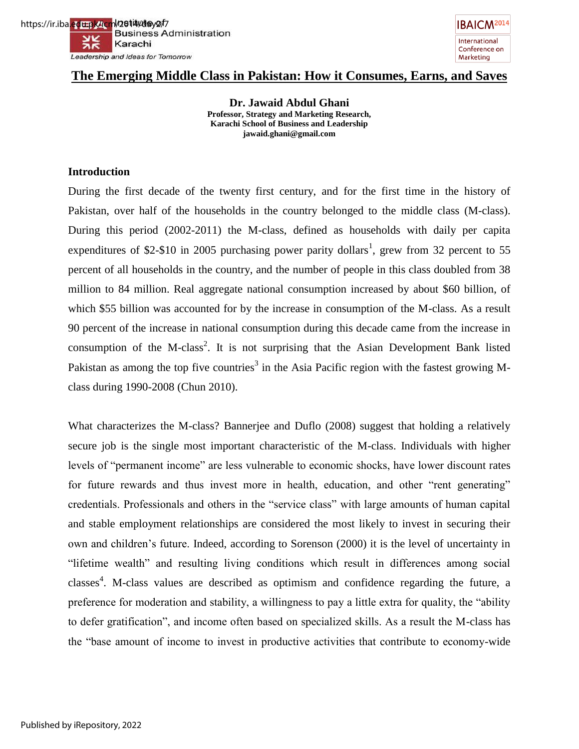

# **The Emerging Middle Class in Pakistan: How it Consumes, Earns, and Saves**

**Dr. Jawaid Abdul Ghani Professor, Strategy and Marketing Research, Karachi School of Business and Leadership jawaid.ghani@gmail.com** 

# **Introduction**

During the first decade of the twenty first century, and for the first time in the history of Pakistan, over half of the households in the country belonged to the middle class (M-class). During this period (2002-2011) the M-class, defined as households with daily per capita expenditures of \$2-\$10 in 2005 purchasing power parity dollars<sup>1</sup>, grew from 32 percent to 55 percent of all households in the country, and the number of people in this class doubled from 38 million to 84 million. Real aggregate national consumption increased by about \$60 billion, of which \$55 billion was accounted for by the increase in consumption of the M-class. As a result 90 percent of the increase in national consumption during this decade came from the increase in consumption of the M-class<sup>2</sup>. It is not surprising that the Asian Development Bank listed Pakistan as among the top five countries<sup>3</sup> in the Asia Pacific region with the fastest growing Mclass during 1990-2008 (Chun 2010).

What characterizes the M-class? Bannerjee and Duflo (2008) suggest that holding a relatively secure job is the single most important characteristic of the M-class. Individuals with higher levels of "permanent income" are less vulnerable to economic shocks, have lower discount rates for future rewards and thus invest more in health, education, and other "rent generating" credentials. Professionals and others in the "service class" with large amounts of human capital and stable employment relationships are considered the most likely to invest in securing their own and children"s future. Indeed, according to Sorenson (2000) it is the level of uncertainty in "lifetime wealth" and resulting living conditions which result in differences among social classes<sup>4</sup>. M-class values are described as optimism and confidence regarding the future, a preference for moderation and stability, a willingness to pay a little extra for quality, the "ability to defer gratification", and income often based on specialized skills. As a result the M-class has the "base amount of income to invest in productive activities that contribute to economy-wide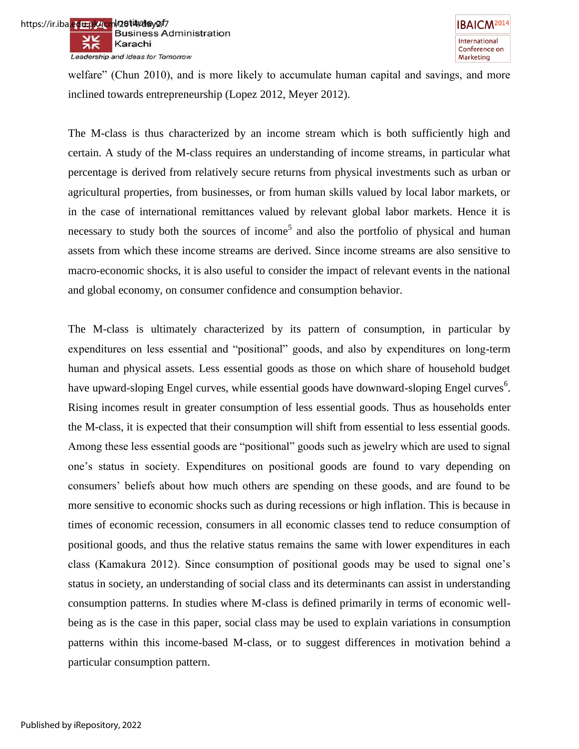

welfare" (Chun 2010), and is more likely to accumulate human capital and savings, and more inclined towards entrepreneurship (Lopez 2012, Meyer 2012).

The M-class is thus characterized by an income stream which is both sufficiently high and certain. A study of the M-class requires an understanding of income streams, in particular what percentage is derived from relatively secure returns from physical investments such as urban or agricultural properties, from businesses, or from human skills valued by local labor markets, or in the case of international remittances valued by relevant global labor markets. Hence it is necessary to study both the sources of income<sup>5</sup> and also the portfolio of physical and human assets from which these income streams are derived. Since income streams are also sensitive to macro-economic shocks, it is also useful to consider the impact of relevant events in the national and global economy, on consumer confidence and consumption behavior.

The M-class is ultimately characterized by its pattern of consumption, in particular by expenditures on less essential and "positional" goods, and also by expenditures on long-term human and physical assets. Less essential goods as those on which share of household budget have upward-sloping Engel curves, while essential goods have downward-sloping Engel curves<sup>6</sup>. Rising incomes result in greater consumption of less essential goods. Thus as households enter the M-class, it is expected that their consumption will shift from essential to less essential goods. Among these less essential goods are "positional" goods such as jewelry which are used to signal one"s status in society. Expenditures on positional goods are found to vary depending on consumers" beliefs about how much others are spending on these goods, and are found to be more sensitive to economic shocks such as during recessions or high inflation. This is because in times of economic recession, consumers in all economic classes tend to reduce consumption of positional goods, and thus the relative status remains the same with lower expenditures in each class (Kamakura 2012). Since consumption of positional goods may be used to signal one"s status in society, an understanding of social class and its determinants can assist in understanding consumption patterns. In studies where M-class is defined primarily in terms of economic wellbeing as is the case in this paper, social class may be used to explain variations in consumption patterns within this income-based M-class, or to suggest differences in motivation behind a particular consumption pattern.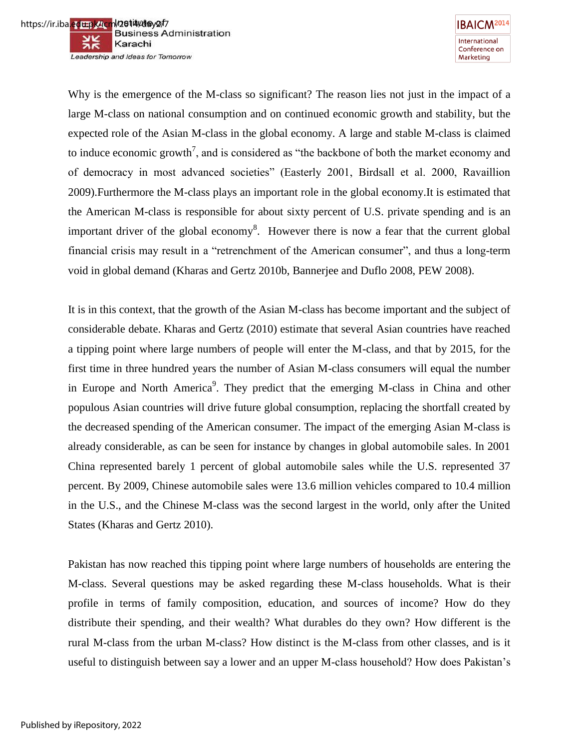



Why is the emergence of the M-class so significant? The reason lies not just in the impact of a large M-class on national consumption and on continued economic growth and stability, but the expected role of the Asian M-class in the global economy. A large and stable M-class is claimed to induce economic growth<sup>7</sup>, and is considered as "the backbone of both the market economy and of democracy in most advanced societies" (Easterly 2001, Birdsall et al. 2000, Ravaillion 2009).Furthermore the M-class plays an important role in the global economy.It is estimated that the American M-class is responsible for about sixty percent of U.S. private spending and is an important driver of the global economy<sup>8</sup>. However there is now a fear that the current global financial crisis may result in a "retrenchment of the American consumer", and thus a long-term void in global demand (Kharas and Gertz 2010b, Bannerjee and Duflo 2008, PEW 2008).

It is in this context, that the growth of the Asian M-class has become important and the subject of considerable debate. Kharas and Gertz (2010) estimate that several Asian countries have reached a tipping point where large numbers of people will enter the M-class, and that by 2015, for the first time in three hundred years the number of Asian M-class consumers will equal the number in Europe and North America<sup>9</sup>. They predict that the emerging M-class in China and other populous Asian countries will drive future global consumption, replacing the shortfall created by the decreased spending of the American consumer. The impact of the emerging Asian M-class is already considerable, as can be seen for instance by changes in global automobile sales. In 2001 China represented barely 1 percent of global automobile sales while the U.S. represented 37 percent. By 2009, Chinese automobile sales were 13.6 million vehicles compared to 10.4 million in the U.S., and the Chinese M-class was the second largest in the world, only after the United States (Kharas and Gertz 2010).

Pakistan has now reached this tipping point where large numbers of households are entering the M-class. Several questions may be asked regarding these M-class households. What is their profile in terms of family composition, education, and sources of income? How do they distribute their spending, and their wealth? What durables do they own? How different is the rural M-class from the urban M-class? How distinct is the M-class from other classes, and is it useful to distinguish between say a lower and an upper M-class household? How does Pakistan"s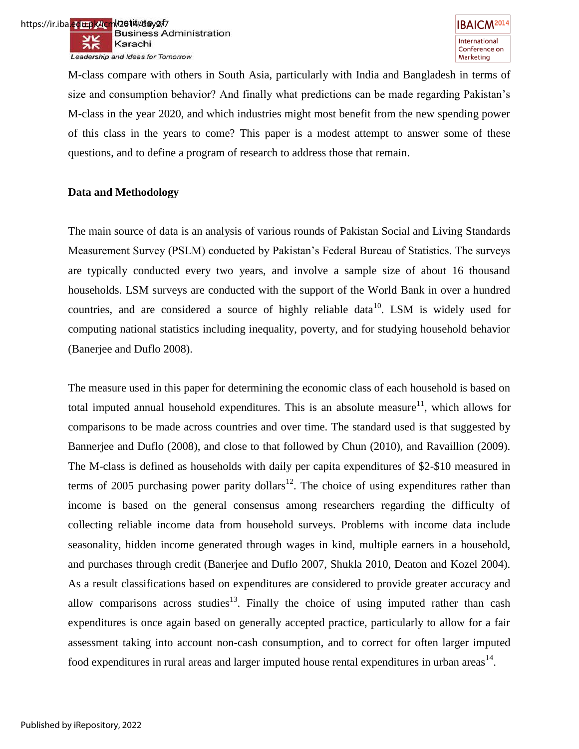M-class compare with others in South Asia, particularly with India and Bangladesh in terms of size and consumption behavior? And finally what predictions can be made regarding Pakistan"s M-class in the year 2020, and which industries might most benefit from the new spending power of this class in the years to come? This paper is a modest attempt to answer some of these questions, and to define a program of research to address those that remain.

# **Data and Methodology**

The main source of data is an analysis of various rounds of Pakistan Social and Living Standards Measurement Survey (PSLM) conducted by Pakistan"s Federal Bureau of Statistics. The surveys are typically conducted every two years, and involve a sample size of about 16 thousand households. LSM surveys are conducted with the support of the World Bank in over a hundred countries, and are considered a source of highly reliable data<sup>10</sup>. LSM is widely used for computing national statistics including inequality, poverty, and for studying household behavior (Banerjee and Duflo 2008).

The measure used in this paper for determining the economic class of each household is based on total imputed annual household expenditures. This is an absolute measure<sup>11</sup>, which allows for comparisons to be made across countries and over time. The standard used is that suggested by Bannerjee and Duflo (2008), and close to that followed by Chun (2010), and Ravaillion (2009). The M-class is defined as households with daily per capita expenditures of \$2-\$10 measured in terms of 2005 purchasing power parity dollars<sup>12</sup>. The choice of using expenditures rather than income is based on the general consensus among researchers regarding the difficulty of collecting reliable income data from household surveys. Problems with income data include seasonality, hidden income generated through wages in kind, multiple earners in a household, and purchases through credit (Banerjee and Duflo 2007, Shukla 2010, Deaton and Kozel 2004). As a result classifications based on expenditures are considered to provide greater accuracy and allow comparisons across studies<sup>13</sup>. Finally the choice of using imputed rather than cash expenditures is once again based on generally accepted practice, particularly to allow for a fair assessment taking into account non-cash consumption, and to correct for often larger imputed food expenditures in rural areas and larger imputed house rental expenditures in urban areas<sup>14</sup>.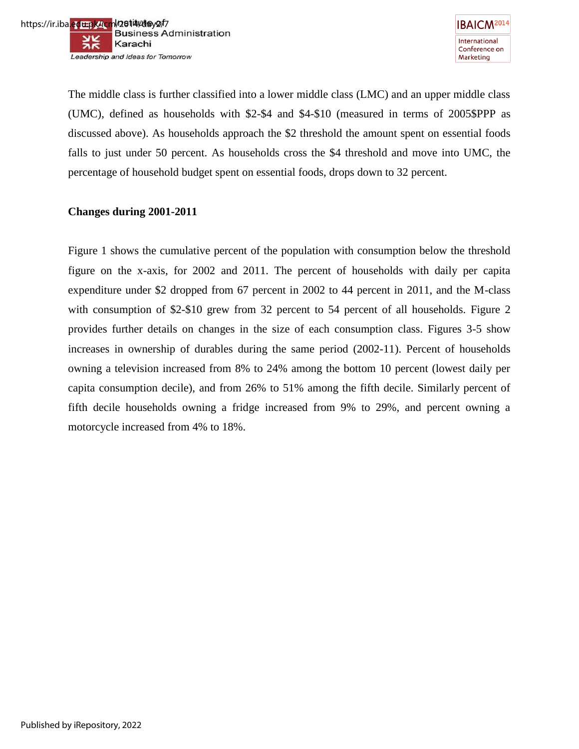

The middle class is further classified into a lower middle class (LMC) and an upper middle class (UMC), defined as households with \$2-\$4 and \$4-\$10 (measured in terms of 2005\$PPP as discussed above). As households approach the \$2 threshold the amount spent on essential foods falls to just under 50 percent. As households cross the \$4 threshold and move into UMC, the percentage of household budget spent on essential foods, drops down to 32 percent.

# **Changes during 2001-2011**

Figure 1 shows the cumulative percent of the population with consumption below the threshold figure on the x-axis, for 2002 and 2011. The percent of households with daily per capita expenditure under \$2 dropped from 67 percent in 2002 to 44 percent in 2011, and the M-class with consumption of \$2-\$10 grew from 32 percent to 54 percent of all households. Figure 2 provides further details on changes in the size of each consumption class. Figures 3-5 show increases in ownership of durables during the same period (2002-11). Percent of households owning a television increased from 8% to 24% among the bottom 10 percent (lowest daily per capita consumption decile), and from 26% to 51% among the fifth decile. Similarly percent of fifth decile households owning a fridge increased from 9% to 29%, and percent owning a motorcycle increased from 4% to 18%.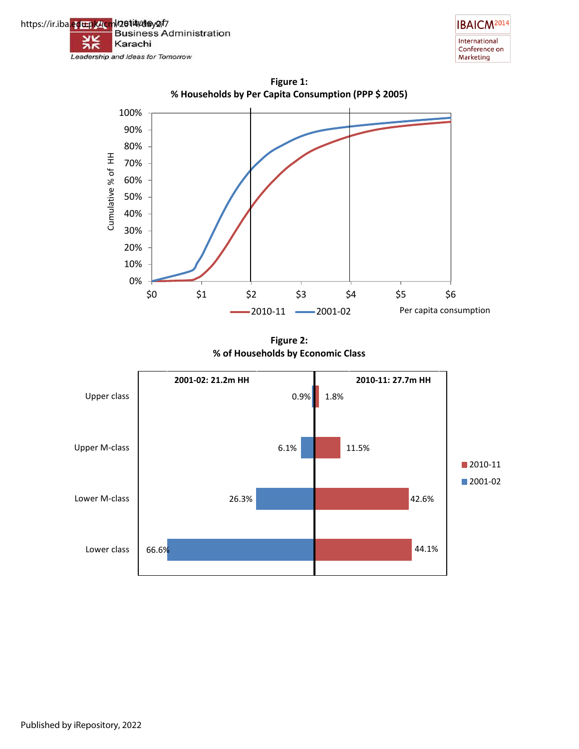







**Figure 2: % of Households by Economic Class**

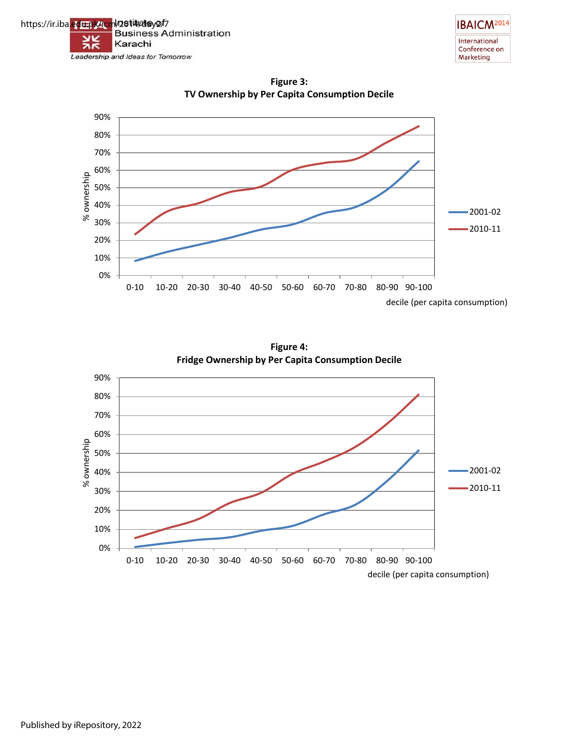



**Figure 3: TV Ownership by Per Capita Consumption Decile**



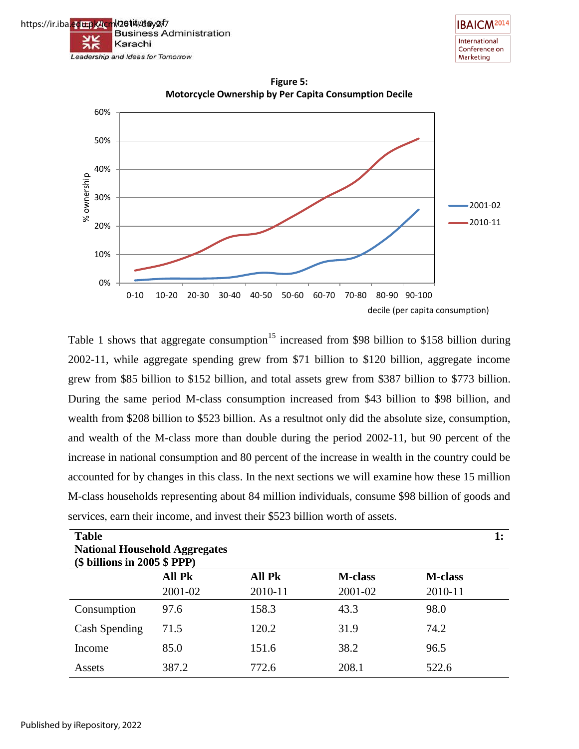





**Figure 5: Motorcycle Ownership by Per Capita Consumption Decile**

Table 1 shows that aggregate consumption<sup>15</sup> increased from \$98 billion to \$158 billion during 2002-11, while aggregate spending grew from \$71 billion to \$120 billion, aggregate income grew from \$85 billion to \$152 billion, and total assets grew from \$387 billion to \$773 billion. During the same period M-class consumption increased from \$43 billion to \$98 billion, and wealth from \$208 billion to \$523 billion. As a resultnot only did the absolute size, consumption, and wealth of the M-class more than double during the period 2002-11, but 90 percent of the increase in national consumption and 80 percent of the increase in wealth in the country could be accounted for by changes in this class. In the next sections we will examine how these 15 million M-class households representing about 84 million individuals, consume \$98 billion of goods and services, earn their income, and invest their \$523 billion worth of assets.

| <b>Table</b>                         |               |               |                | 1:             |
|--------------------------------------|---------------|---------------|----------------|----------------|
| <b>National Household Aggregates</b> |               |               |                |                |
| $(\$$ billions in 2005 $$$ PPP)      |               |               |                |                |
|                                      | <b>All Pk</b> | <b>All Pk</b> | <b>M-class</b> | <b>M-class</b> |
|                                      | 2001-02       | 2010-11       | 2001-02        | 2010-11        |
| Consumption                          | 97.6          | 158.3         | 43.3           | 98.0           |
| Cash Spending                        | 71.5          | 120.2         | 31.9           | 74.2           |
| Income                               | 85.0          | 151.6         | 38.2           | 96.5           |
| Assets                               | 387.2         | 772.6         | 208.1          | 522.6          |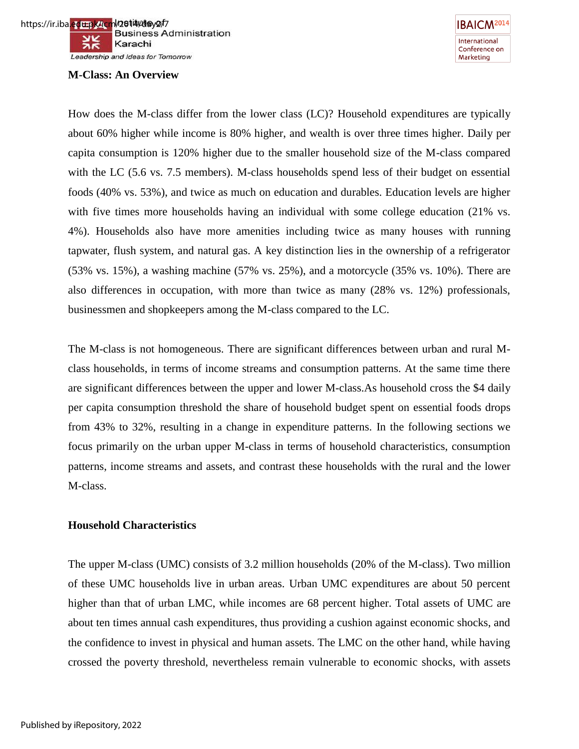#### **M-Class: An Overview**



How does the M-class differ from the lower class (LC)? Household expenditures are typically about 60% higher while income is 80% higher, and wealth is over three times higher. Daily per capita consumption is 120% higher due to the smaller household size of the M-class compared with the LC (5.6 vs. 7.5 members). M-class households spend less of their budget on essential foods (40% vs. 53%), and twice as much on education and durables. Education levels are higher with five times more households having an individual with some college education (21% vs. 4%). Households also have more amenities including twice as many houses with running tapwater, flush system, and natural gas. A key distinction lies in the ownership of a refrigerator (53% vs. 15%), a washing machine (57% vs. 25%), and a motorcycle (35% vs. 10%). There are also differences in occupation, with more than twice as many (28% vs. 12%) professionals, businessmen and shopkeepers among the M-class compared to the LC.

The M-class is not homogeneous. There are significant differences between urban and rural Mclass households, in terms of income streams and consumption patterns. At the same time there are significant differences between the upper and lower M-class.As household cross the \$4 daily per capita consumption threshold the share of household budget spent on essential foods drops from 43% to 32%, resulting in a change in expenditure patterns. In the following sections we focus primarily on the urban upper M-class in terms of household characteristics, consumption patterns, income streams and assets, and contrast these households with the rural and the lower M-class.

#### **Household Characteristics**

The upper M-class (UMC) consists of 3.2 million households (20% of the M-class). Two million of these UMC households live in urban areas. Urban UMC expenditures are about 50 percent higher than that of urban LMC, while incomes are 68 percent higher. Total assets of UMC are about ten times annual cash expenditures, thus providing a cushion against economic shocks, and the confidence to invest in physical and human assets. The LMC on the other hand, while having crossed the poverty threshold, nevertheless remain vulnerable to economic shocks, with assets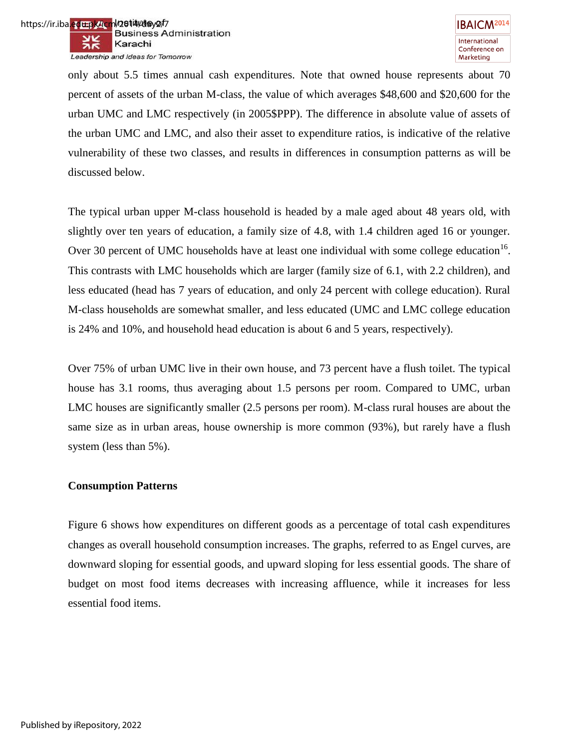

only about 5.5 times annual cash expenditures. Note that owned house represents about 70 percent of assets of the urban M-class, the value of which averages \$48,600 and \$20,600 for the urban UMC and LMC respectively (in 2005\$PPP). The difference in absolute value of assets of the urban UMC and LMC, and also their asset to expenditure ratios, is indicative of the relative vulnerability of these two classes, and results in differences in consumption patterns as will be discussed below.

The typical urban upper M-class household is headed by a male aged about 48 years old, with slightly over ten years of education, a family size of 4.8, with 1.4 children aged 16 or younger. Over 30 percent of UMC households have at least one individual with some college education<sup>16</sup>. This contrasts with LMC households which are larger (family size of 6.1, with 2.2 children), and less educated (head has 7 years of education, and only 24 percent with college education). Rural M-class households are somewhat smaller, and less educated (UMC and LMC college education is 24% and 10%, and household head education is about 6 and 5 years, respectively).

Over 75% of urban UMC live in their own house, and 73 percent have a flush toilet. The typical house has 3.1 rooms, thus averaging about 1.5 persons per room. Compared to UMC, urban LMC houses are significantly smaller (2.5 persons per room). M-class rural houses are about the same size as in urban areas, house ownership is more common (93%), but rarely have a flush system (less than 5%).

#### **Consumption Patterns**

Figure 6 shows how expenditures on different goods as a percentage of total cash expenditures changes as overall household consumption increases. The graphs, referred to as Engel curves, are downward sloping for essential goods, and upward sloping for less essential goods. The share of budget on most food items decreases with increasing affluence, while it increases for less essential food items.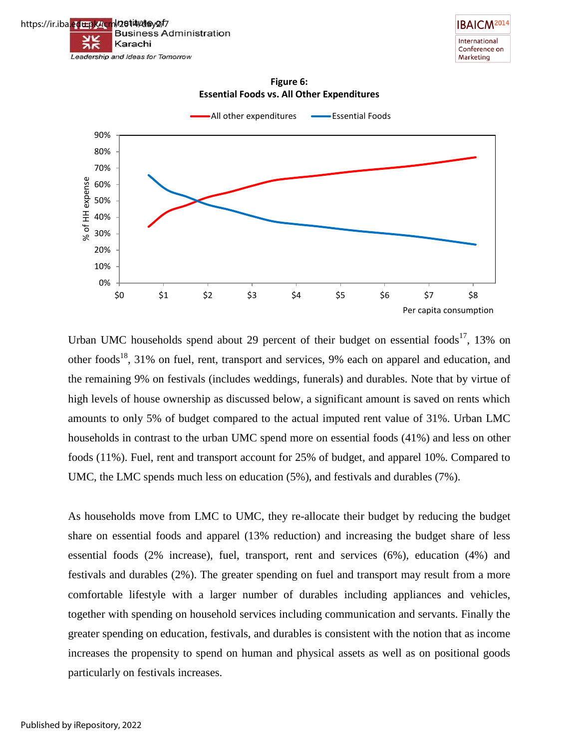



**Figure 6: Essential Foods vs. All Other Expenditures**



Urban UMC households spend about 29 percent of their budget on essential foods<sup>17</sup>, 13% on other foods<sup>18</sup>, 31% on fuel, rent, transport and services, 9% each on apparel and education, and the remaining 9% on festivals (includes weddings, funerals) and durables. Note that by virtue of high levels of house ownership as discussed below, a significant amount is saved on rents which amounts to only 5% of budget compared to the actual imputed rent value of 31%. Urban LMC households in contrast to the urban UMC spend more on essential foods (41%) and less on other foods (11%). Fuel, rent and transport account for 25% of budget, and apparel 10%. Compared to UMC, the LMC spends much less on education (5%), and festivals and durables (7%).

As households move from LMC to UMC, they re-allocate their budget by reducing the budget share on essential foods and apparel (13% reduction) and increasing the budget share of less essential foods (2% increase), fuel, transport, rent and services (6%), education (4%) and festivals and durables (2%). The greater spending on fuel and transport may result from a more comfortable lifestyle with a larger number of durables including appliances and vehicles, together with spending on household services including communication and servants. Finally the greater spending on education, festivals, and durables is consistent with the notion that as income increases the propensity to spend on human and physical assets as well as on positional goods particularly on festivals increases.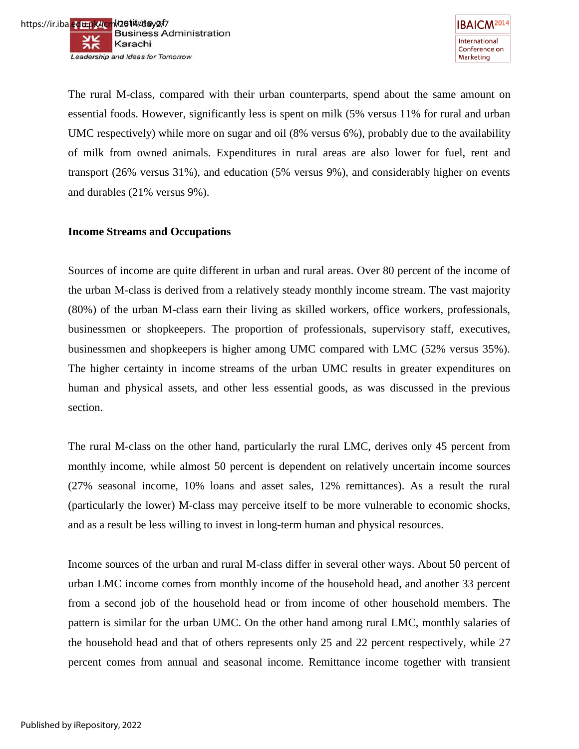

The rural M-class, compared with their urban counterparts, spend about the same amount on essential foods. However, significantly less is spent on milk (5% versus 11% for rural and urban UMC respectively) while more on sugar and oil (8% versus 6%), probably due to the availability of milk from owned animals. Expenditures in rural areas are also lower for fuel, rent and transport (26% versus 31%), and education (5% versus 9%), and considerably higher on events and durables (21% versus 9%).

# **Income Streams and Occupations**

Sources of income are quite different in urban and rural areas. Over 80 percent of the income of the urban M-class is derived from a relatively steady monthly income stream. The vast majority (80%) of the urban M-class earn their living as skilled workers, office workers, professionals, businessmen or shopkeepers. The proportion of professionals, supervisory staff, executives, businessmen and shopkeepers is higher among UMC compared with LMC (52% versus 35%). The higher certainty in income streams of the urban UMC results in greater expenditures on human and physical assets, and other less essential goods, as was discussed in the previous section.

The rural M-class on the other hand, particularly the rural LMC, derives only 45 percent from monthly income, while almost 50 percent is dependent on relatively uncertain income sources (27% seasonal income, 10% loans and asset sales, 12% remittances). As a result the rural (particularly the lower) M-class may perceive itself to be more vulnerable to economic shocks, and as a result be less willing to invest in long-term human and physical resources.

Income sources of the urban and rural M-class differ in several other ways. About 50 percent of urban LMC income comes from monthly income of the household head, and another 33 percent from a second job of the household head or from income of other household members. The pattern is similar for the urban UMC. On the other hand among rural LMC, monthly salaries of the household head and that of others represents only 25 and 22 percent respectively, while 27 percent comes from annual and seasonal income. Remittance income together with transient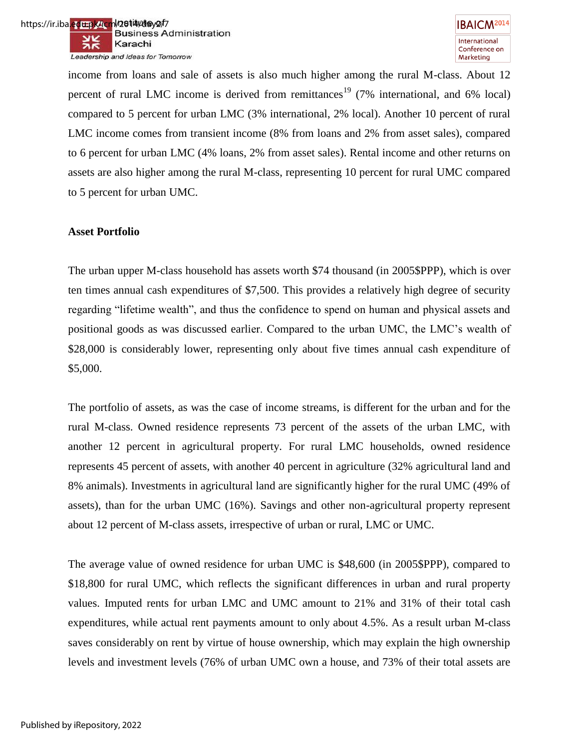

income from loans and sale of assets is also much higher among the rural M-class. About 12 percent of rural LMC income is derived from remittances<sup>19</sup> (7% international, and 6% local) compared to 5 percent for urban LMC (3% international, 2% local). Another 10 percent of rural LMC income comes from transient income (8% from loans and 2% from asset sales), compared to 6 percent for urban LMC (4% loans, 2% from asset sales). Rental income and other returns on assets are also higher among the rural M-class, representing 10 percent for rural UMC compared to 5 percent for urban UMC.

#### **Asset Portfolio**

The urban upper M-class household has assets worth \$74 thousand (in 2005\$PPP), which is over ten times annual cash expenditures of \$7,500. This provides a relatively high degree of security regarding "lifetime wealth", and thus the confidence to spend on human and physical assets and positional goods as was discussed earlier. Compared to the urban UMC, the LMC"s wealth of \$28,000 is considerably lower, representing only about five times annual cash expenditure of \$5,000.

The portfolio of assets, as was the case of income streams, is different for the urban and for the rural M-class. Owned residence represents 73 percent of the assets of the urban LMC, with another 12 percent in agricultural property. For rural LMC households, owned residence represents 45 percent of assets, with another 40 percent in agriculture (32% agricultural land and 8% animals). Investments in agricultural land are significantly higher for the rural UMC (49% of assets), than for the urban UMC (16%). Savings and other non-agricultural property represent about 12 percent of M-class assets, irrespective of urban or rural, LMC or UMC.

The average value of owned residence for urban UMC is \$48,600 (in 2005\$PPP), compared to \$18,800 for rural UMC, which reflects the significant differences in urban and rural property values. Imputed rents for urban LMC and UMC amount to 21% and 31% of their total cash expenditures, while actual rent payments amount to only about 4.5%. As a result urban M-class saves considerably on rent by virtue of house ownership, which may explain the high ownership levels and investment levels (76% of urban UMC own a house, and 73% of their total assets are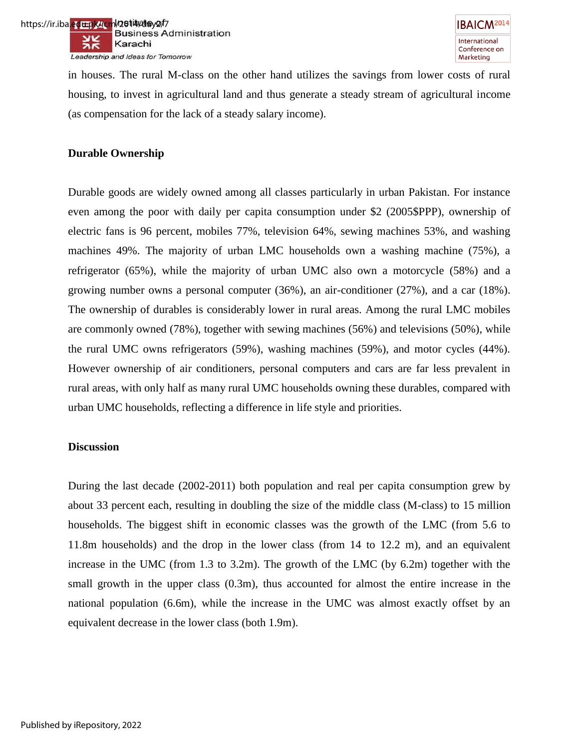in houses. The rural M-class on the other hand utilizes the savings from lower costs of rural housing, to invest in agricultural land and thus generate a steady stream of agricultural income (as compensation for the lack of a steady salary income).

# **Durable Ownership**

Durable goods are widely owned among all classes particularly in urban Pakistan. For instance even among the poor with daily per capita consumption under \$2 (2005\$PPP), ownership of electric fans is 96 percent, mobiles 77%, television 64%, sewing machines 53%, and washing machines 49%. The majority of urban LMC households own a washing machine (75%), a refrigerator (65%), while the majority of urban UMC also own a motorcycle (58%) and a growing number owns a personal computer (36%), an air-conditioner (27%), and a car (18%). The ownership of durables is considerably lower in rural areas. Among the rural LMC mobiles are commonly owned (78%), together with sewing machines (56%) and televisions (50%), while the rural UMC owns refrigerators (59%), washing machines (59%), and motor cycles (44%). However ownership of air conditioners, personal computers and cars are far less prevalent in rural areas, with only half as many rural UMC households owning these durables, compared with urban UMC households, reflecting a difference in life style and priorities.

#### **Discussion**

During the last decade (2002-2011) both population and real per capita consumption grew by about 33 percent each, resulting in doubling the size of the middle class (M-class) to 15 million households. The biggest shift in economic classes was the growth of the LMC (from 5.6 to 11.8m households) and the drop in the lower class (from 14 to 12.2 m), and an equivalent increase in the UMC (from 1.3 to 3.2m). The growth of the LMC (by 6.2m) together with the small growth in the upper class (0.3m), thus accounted for almost the entire increase in the national population (6.6m), while the increase in the UMC was almost exactly offset by an equivalent decrease in the lower class (both 1.9m).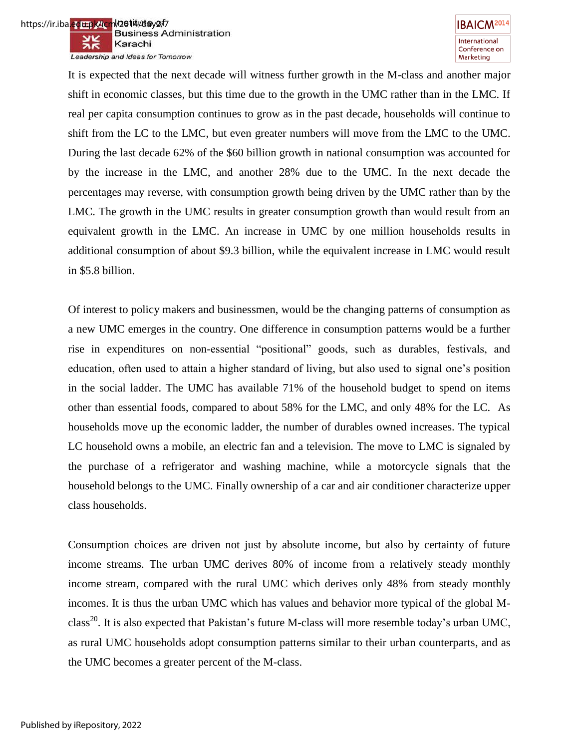

It is expected that the next decade will witness further growth in the M-class and another major shift in economic classes, but this time due to the growth in the UMC rather than in the LMC. If real per capita consumption continues to grow as in the past decade, households will continue to shift from the LC to the LMC, but even greater numbers will move from the LMC to the UMC. During the last decade 62% of the \$60 billion growth in national consumption was accounted for by the increase in the LMC, and another 28% due to the UMC. In the next decade the percentages may reverse, with consumption growth being driven by the UMC rather than by the LMC. The growth in the UMC results in greater consumption growth than would result from an equivalent growth in the LMC. An increase in UMC by one million households results in additional consumption of about \$9.3 billion, while the equivalent increase in LMC would result in \$5.8 billion.

Of interest to policy makers and businessmen, would be the changing patterns of consumption as a new UMC emerges in the country. One difference in consumption patterns would be a further rise in expenditures on non-essential "positional" goods, such as durables, festivals, and education, often used to attain a higher standard of living, but also used to signal one"s position in the social ladder. The UMC has available 71% of the household budget to spend on items other than essential foods, compared to about 58% for the LMC, and only 48% for the LC. As households move up the economic ladder, the number of durables owned increases. The typical LC household owns a mobile, an electric fan and a television. The move to LMC is signaled by the purchase of a refrigerator and washing machine, while a motorcycle signals that the household belongs to the UMC. Finally ownership of a car and air conditioner characterize upper class households.

Consumption choices are driven not just by absolute income, but also by certainty of future income streams. The urban UMC derives 80% of income from a relatively steady monthly income stream, compared with the rural UMC which derives only 48% from steady monthly incomes. It is thus the urban UMC which has values and behavior more typical of the global Mclass<sup>20</sup>. It is also expected that Pakistan's future M-class will more resemble today's urban UMC, as rural UMC households adopt consumption patterns similar to their urban counterparts, and as the UMC becomes a greater percent of the M-class.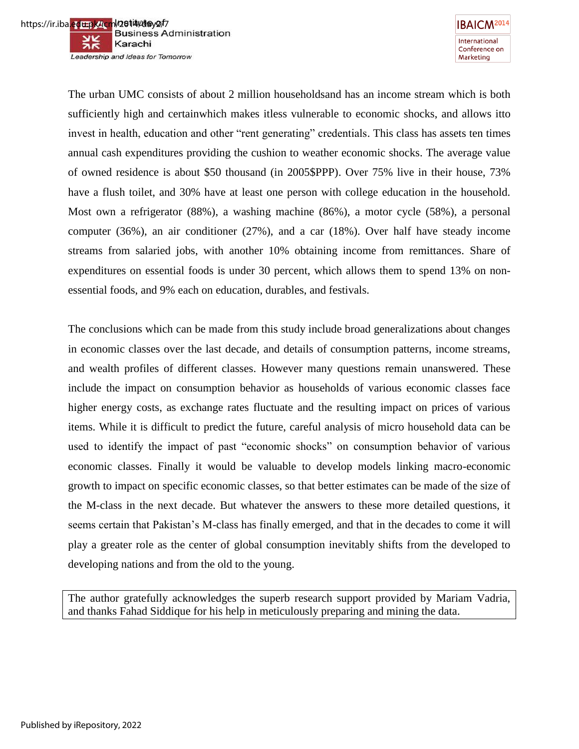

**IBAICM<sup>2014</sup>** International Conference on Marketing

The urban UMC consists of about 2 million householdsand has an income stream which is both sufficiently high and certainwhich makes itless vulnerable to economic shocks, and allows itto invest in health, education and other "rent generating" credentials. This class has assets ten times annual cash expenditures providing the cushion to weather economic shocks. The average value of owned residence is about \$50 thousand (in 2005\$PPP). Over 75% live in their house, 73% have a flush toilet, and 30% have at least one person with college education in the household. Most own a refrigerator (88%), a washing machine (86%), a motor cycle (58%), a personal computer (36%), an air conditioner (27%), and a car (18%). Over half have steady income streams from salaried jobs, with another 10% obtaining income from remittances. Share of expenditures on essential foods is under 30 percent, which allows them to spend 13% on nonessential foods, and 9% each on education, durables, and festivals.

The conclusions which can be made from this study include broad generalizations about changes in economic classes over the last decade, and details of consumption patterns, income streams, and wealth profiles of different classes. However many questions remain unanswered. These include the impact on consumption behavior as households of various economic classes face higher energy costs, as exchange rates fluctuate and the resulting impact on prices of various items. While it is difficult to predict the future, careful analysis of micro household data can be used to identify the impact of past "economic shocks" on consumption behavior of various economic classes. Finally it would be valuable to develop models linking macro-economic growth to impact on specific economic classes, so that better estimates can be made of the size of the M-class in the next decade. But whatever the answers to these more detailed questions, it seems certain that Pakistan's M-class has finally emerged, and that in the decades to come it will play a greater role as the center of global consumption inevitably shifts from the developed to developing nations and from the old to the young.

The author gratefully acknowledges the superb research support provided by Mariam Vadria, and thanks Fahad Siddique for his help in meticulously preparing and mining the data.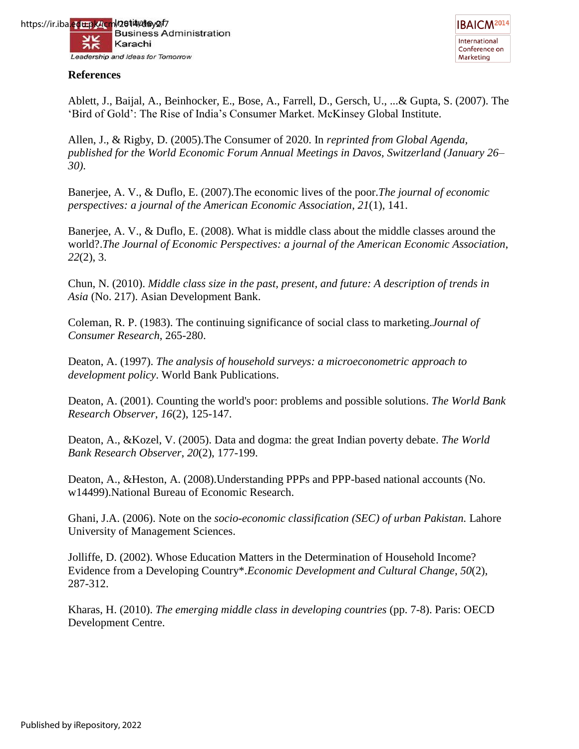



#### **References**

Ablett, J., Baijal, A., Beinhocker, E., Bose, A., Farrell, D., Gersch, U., ...& Gupta, S. (2007). The "Bird of Gold": The Rise of India"s Consumer Market. McKinsey Global Institute.

Allen, J., & Rigby, D. (2005).The Consumer of 2020. In *reprinted from Global Agenda, published for the World Economic Forum Annual Meetings in Davos, Switzerland (January 26– 30)*.

Banerjee, A. V., & Duflo, E. (2007).The economic lives of the poor.*The journal of economic perspectives: a journal of the American Economic Association*, *21*(1), 141.

Banerjee, A. V., & Duflo, E. (2008). What is middle class about the middle classes around the world?.*The Journal of Economic Perspectives: a journal of the American Economic Association*, *22*(2), 3.

Chun, N. (2010). *Middle class size in the past, present, and future: A description of trends in Asia* (No. 217). Asian Development Bank.

Coleman, R. P. (1983). The continuing significance of social class to marketing.*Journal of Consumer Research*, 265-280.

Deaton, A. (1997). *The analysis of household surveys: a microeconometric approach to development policy*. World Bank Publications.

Deaton, A. (2001). Counting the world's poor: problems and possible solutions. *The World Bank Research Observer*, *16*(2), 125-147.

Deaton, A., &Kozel, V. (2005). Data and dogma: the great Indian poverty debate. *The World Bank Research Observer*, *20*(2), 177-199.

Deaton, A., &Heston, A. (2008).Understanding PPPs and PPP-based national accounts (No. w14499).National Bureau of Economic Research.

Ghani, J.A. (2006). Note on the *socio-economic classification (SEC) of urban Pakistan.* Lahore University of Management Sciences.

Jolliffe, D. (2002). Whose Education Matters in the Determination of Household Income? Evidence from a Developing Country\*.*Economic Development and Cultural Change*, *50*(2), 287-312.

Kharas, H. (2010). *The emerging middle class in developing countries* (pp. 7-8). Paris: OECD Development Centre.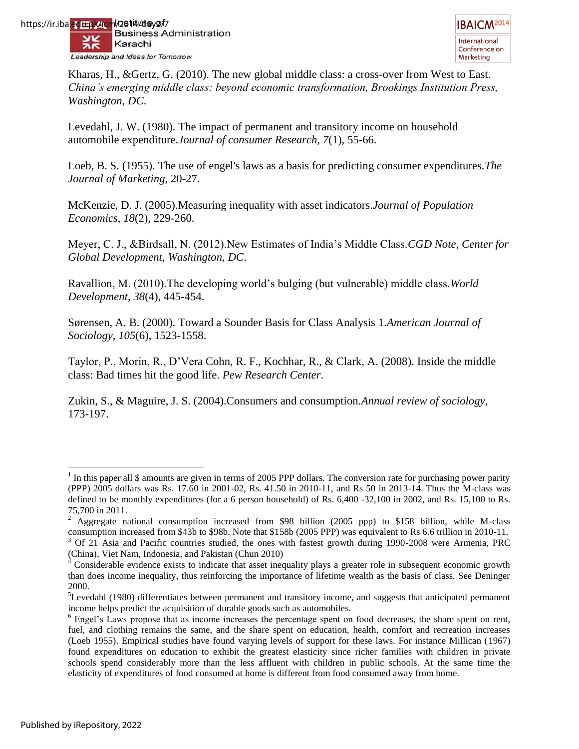Kharas, H., &Gertz, G. (2010). The new global middle class: a cross-over from West to East. *China's emerging middle class: beyond economic transformation, Brookings Institution Press, Washington, DC*.

Levedahl, J. W. (1980). The impact of permanent and transitory income on household automobile expenditure.*Journal of consumer Research*, *7*(1), 55-66.

Loeb, B. S. (1955). The use of engel's laws as a basis for predicting consumer expenditures.*The Journal of Marketing*, 20-27.

McKenzie, D. J. (2005).Measuring inequality with asset indicators.*Journal of Population Economics*, *18*(2), 229-260.

Meyer, C. J., &Birdsall, N. (2012).New Estimates of India"s Middle Class.*CGD Note, Center for Global Development, Washington, DC*.

Ravallion, M. (2010).The developing world"s bulging (but vulnerable) middle class.*World Development*, *38*(4), 445-454.

Sørensen, A. B. (2000). Toward a Sounder Basis for Class Analysis 1.*American Journal of Sociology*, *105*(6), 1523-1558.

Taylor, P., Morin, R., D"Vera Cohn, R. F., Kochhar, R., & Clark, A. (2008). Inside the middle class: Bad times hit the good life. *Pew Research Center*.

Zukin, S., & Maguire, J. S. (2004).Consumers and consumption.*Annual review of sociology*, 173-197.

 $\overline{a}$  $<sup>1</sup>$  In this paper all \$ amounts are given in terms of 2005 PPP dollars. The conversion rate for purchasing power parity</sup> (PPP) 2005 dollars was Rs. 17.60 in 2001-02, Rs. 41.50 in 2010-11, and Rs 50 in 2013-14. Thus the M-class was defined to be monthly expenditures (for a 6 person household) of Rs. 6,400 -32,100 in 2002, and Rs. 15,100 to Rs. 75,700 in 2011.

<sup>&</sup>lt;sup>2</sup> Aggregate national consumption increased from \$98 billion (2005 ppp) to \$158 billion, while M-class consumption increased from \$43b to \$98b. Note that \$158b (2005 PPP) was equivalent to Rs 6.6 trillion in 2010-11. <sup>3</sup> Of 21 Asia and Pacific countries studied, the ones with fastest growth during 1990-2008 were Armenia, PRC (China), Viet Nam, Indonesia, and Pakistan (Chun 2010) 4

Considerable evidence exists to indicate that asset inequality plays a greater role in subsequent economic growth than does income inequality, thus reinforcing the importance of lifetime wealth as the basis of class. See Deninger 2000.

<sup>&</sup>lt;sup>5</sup>Levedahl (1980) differentiates between permanent and transitory income, and suggests that anticipated permanent income helps predict the acquisition of durable goods such as automobiles.

<sup>&</sup>lt;sup>6</sup> Engel's Laws propose that as income increases the percentage spent on food decreases, the share spent on rent, fuel, and clothing remains the same, and the share spent on education, health, comfort and recreation increases (Loeb 1955). Empirical studies have found varying levels of support for these laws. For instance Millican (1967) found expenditures on education to exhibit the greatest elasticity since richer families with children in private schools spend considerably more than the less affluent with children in public schools. At the same time the elasticity of expenditures of food consumed at home is different from food consumed away from home.